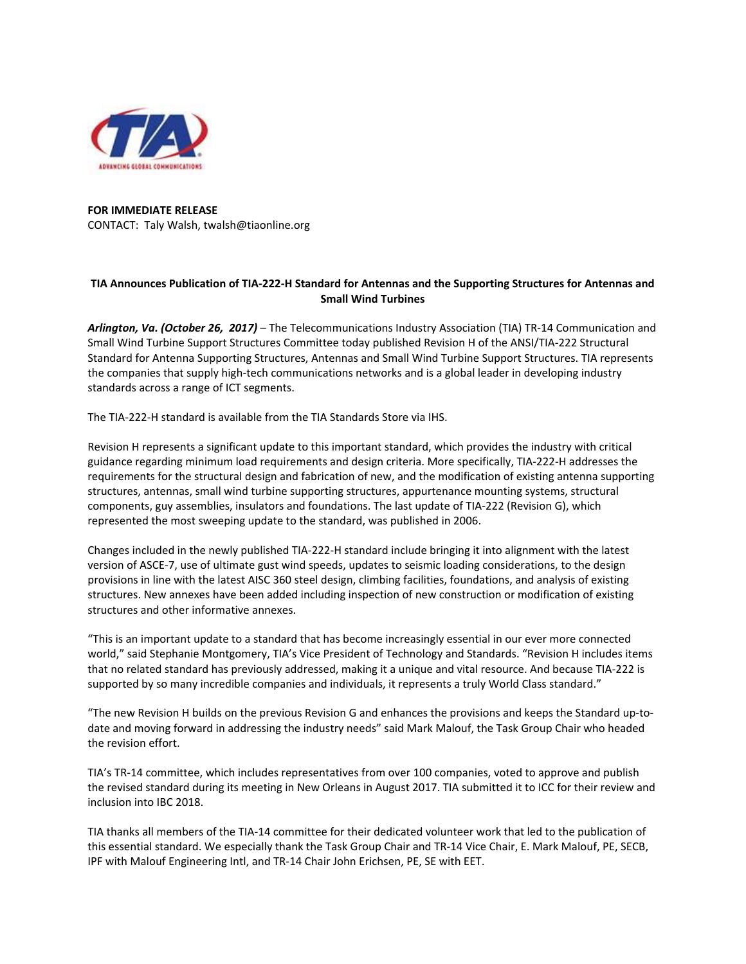

**FOR IMMEDIATE RELEASE**  CONTACT: Taly Walsh, twalsh@tiaonline.org

## **TIA Announces Publication of TIA‐222‐H Standard for Antennas and the Supporting Structures for Antennas and Small Wind Turbines**

*Arlington, Va. (October 26, 2017)* – The Telecommunications Industry Association (TIA) TR‐14 Communication and Small Wind Turbine Support Structures Committee today published Revision H of the ANSI/TIA‐222 Structural Standard for Antenna Supporting Structures, Antennas and Small Wind Turbine Support Structures. TIA represents the companies that supply high‐tech communications networks and is a global leader in developing industry standards across a range of ICT segments.

The TIA‐222‐H standard is available from the TIA Standards Store via IHS.

Revision H represents a significant update to this important standard, which provides the industry with critical guidance regarding minimum load requirements and design criteria. More specifically, TIA‐222‐H addresses the requirements for the structural design and fabrication of new, and the modification of existing antenna supporting structures, antennas, small wind turbine supporting structures, appurtenance mounting systems, structural components, guy assemblies, insulators and foundations. The last update of TIA‐222 (Revision G), which represented the most sweeping update to the standard, was published in 2006.

Changes included in the newly published TIA‐222‐H standard include bringing it into alignment with the latest version of ASCE‐7, use of ultimate gust wind speeds, updates to seismic loading considerations, to the design provisions in line with the latest AISC 360 steel design, climbing facilities, foundations, and analysis of existing structures. New annexes have been added including inspection of new construction or modification of existing structures and other informative annexes.

"This is an important update to a standard that has become increasingly essential in our ever more connected world," said Stephanie Montgomery, TIA's Vice President of Technology and Standards. "Revision H includes items that no related standard has previously addressed, making it a unique and vital resource. And because TIA‐222 is supported by so many incredible companies and individuals, it represents a truly World Class standard."

"The new Revision H builds on the previous Revision G and enhances the provisions and keeps the Standard up‐to‐ date and moving forward in addressing the industry needs" said Mark Malouf, the Task Group Chair who headed the revision effort.

TIA's TR‐14 committee, which includes representatives from over 100 companies, voted to approve and publish the revised standard during its meeting in New Orleans in August 2017. TIA submitted it to ICC for their review and inclusion into IBC 2018.

TIA thanks all members of the TIA‐14 committee for their dedicated volunteer work that led to the publication of this essential standard. We especially thank the Task Group Chair and TR‐14 Vice Chair, E. Mark Malouf, PE, SECB, IPF with Malouf Engineering Intl, and TR‐14 Chair John Erichsen, PE, SE with EET.